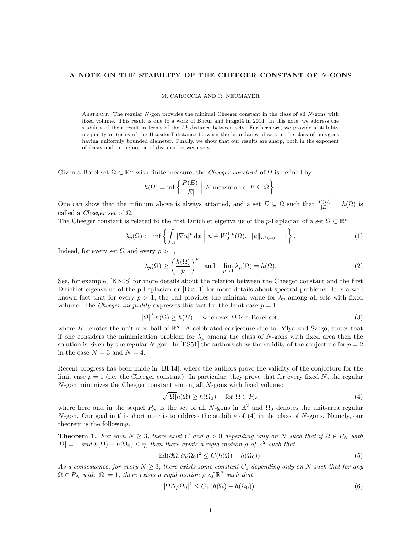## A NOTE ON THE STABILITY OF THE CHEEGER CONSTANT OF N-GONS

M. CAROCCIA AND R. NEUMAYER

ABSTRACT. The regular  $N$ -gon provides the minimal Cheeger constant in the class of all  $N$ -gons with fixed volume. This result is due to a work of Bucur and Fragalà in 2014. In this note, we address the stability of their result in terms of the  $L<sup>1</sup>$  distance between sets. Furthermore, we provide a stability inequality in terms of the Hausdorff distance between the boundaries of sets in the class of polygons having uniformly bounded diameter. Finally, we show that our results are sharp, both in the exponent of decay and in the notion of distance between sets.

Given a Borel set  $\Omega \subset \mathbb{R}^n$  with finite measure, the *Cheeger constant* of  $\Omega$  is defined by

$$
h(\Omega) = \inf \left\{ \frac{P(E)}{|E|} \middle| E \text{ measurable, } E \subseteq \Omega \right\}.
$$

One can show that the infimum above is always attained, and a set  $E \subseteq \Omega$  such that  $\frac{P(E)}{|E|} = h(\Omega)$  is called a *Cheeger set* of  $\Omega$ .

The Cheeger constant is related to the first Dirichlet eigenvalue of the p-Laplacian of a set  $\Omega \subset \mathbb{R}^n$ :

$$
\lambda_p(\Omega) := \inf \left\{ \int_{\Omega} |\nabla u|^p \, \mathrm{d}x \mid u \in W_0^{1,p}(\Omega), \ \|u\|_{L^p(\Omega)} = 1 \right\}. \tag{1}
$$

Indeed, for every set  $\Omega$  and every  $p > 1$ ,

$$
\lambda_p(\Omega) \ge \left(\frac{h(\Omega)}{p}\right)^p \quad \text{and} \quad \lim_{p \to 1} \lambda_p(\Omega) = h(\Omega). \tag{2}
$$

See, for example, [KN08] for more details about the relation between the Cheeger constant and the first Dirichlet eigenvalue of the p-Laplacian or [But11] for more details about spectral problems. It is a well known fact that for every  $p > 1$ , the ball provides the minimal value for  $\lambda_p$  among all sets with fixed volume. The *Cheeger inequality* expresses this fact for the limit case  $p = 1$ :

$$
|\Omega|^{\frac{1}{n}}h(\Omega) \ge h(B), \quad \text{whenever } \Omega \text{ is a Borel set}, \tag{3}
$$

where  $B$  denotes the unit-area ball of  $\mathbb{R}^n$ . A celebrated conjecture due to Pólya and Szegő, states that if one considers the minimization problem for  $\lambda_p$  among the class of N-gons with fixed area then the solution is given by the regular N-gon. In [PS51] the authors show the validity of the conjecture for  $p = 2$ in the case  $N = 3$  and  $N = 4$ .

Recent progress has been made in [BF14], where the authors prove the validity of the conjecture for the limit case  $p = 1$  (i.e. the Cheeger constant). In particular, they prove that for every fixed N, the regular N-gon minimizes the Cheeger constant among all N-gons with fixed volume:

$$
\sqrt{|\Omega|}h(\Omega) \ge h(\Omega_0) \quad \text{ for } \Omega \in P_N,\tag{4}
$$

where here and in the sequel  $P_N$  is the set of all N-gons in  $\mathbb{R}^2$  and  $\Omega_0$  denotes the unit-area regular  $N$ -gon. Our goal in this short note is to address the stability of (4) in the class of  $N$ -gons. Namely, our theorem is the following.

**Theorem 1.** For each  $N \geq 3$ , there exist C and  $\eta > 0$  depending only on N such that if  $\Omega \in P_N$  with  $|\Omega| = 1$  and  $h(\Omega) - h(\Omega_0) \leq \eta$ , then there exists a rigid motion  $\rho$  of  $\mathbb{R}^2$  such that

$$
hd(\partial\Omega, \partial\rho\Omega_0)^2 \le C(h(\Omega) - h(\Omega_0)).
$$
\n(5)

As a consequence, for every  $N \geq 3$ , there exists some constant  $C_1$  depending only on N such that for any  $\Omega \in P_N$  with  $|\Omega|=1$ , there exists a rigid motion  $\rho$  of  $\mathbb{R}^2$  such that

$$
|\Omega \Delta \rho \Omega_0|^2 \le C_1 \left( h(\Omega) - h(\Omega_0) \right). \tag{6}
$$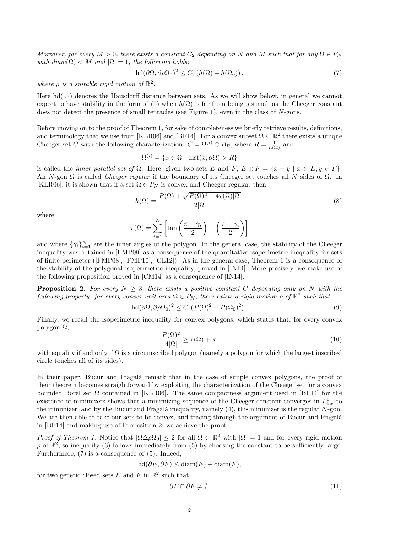Moreover, for every  $M > 0$ , there exists a constant  $C_2$  depending on N and M such that for any  $\Omega \in P_N$ with  $diam(\Omega) < M$  and  $|\Omega| = 1$ , the following holds:

$$
hd(\partial\Omega, \partial\rho\Omega_0)^2 \le C_2 \left( h(\Omega) - h(\Omega_0) \right),\tag{7}
$$

where  $\rho$  is a suitable rigid motion of  $\mathbb{R}^2$ .

Here  $hd(\cdot, \cdot)$  denotes the Hausdorff distance between sets. As we will show below, in general we cannot expect to have stability in the form of (5) when  $h(\Omega)$  is far from being optimal, as the Cheeger constant does not detect the presence of small tentacles (see Figure 1), even in the class of N-gons.

Before moving on to the proof of Theorem 1, for sake of completeness we briefly retrieve results, definitions, and terminology that we use from [KLR06] and [BF14]. For a convex subset  $\Omega \subseteq \mathbb{R}^2$  there exists a unique Cheeger set C with the following characterization:  $C = \Omega^{(i)} \oplus B_R$ , where  $R = \frac{1}{h(\Omega)}$  and

$$
\Omega^{(i)} = \{ x \in \Omega \mid \text{dist}(x, \partial \Omega) > R \}
$$

is called the *inner parallel set of*  $\Omega$ . Here, given two sets E and F,  $E \oplus F = \{x + y \mid x \in E, y \in F\}$ . An N-gon  $\Omega$  is called *Cheeger regular* if the boundary of its Cheeger set touches all N sides of  $\Omega$ . In [KLR06], it is shown that if a set  $\Omega \in P_N$  is convex and Cheeger regular, then

$$
h(\Omega) = \frac{P(\Omega) + \sqrt{P(\Omega)^2 - 4\tau(\Omega)|\Omega|}}{2|\Omega|},\tag{8}
$$

where

$$
\tau(\Omega) = \sum_{i=1}^{N} \left[ \tan\left(\frac{\pi - \gamma_i}{2}\right) - \left(\frac{\pi - \gamma_i}{2}\right) \right]
$$

and where  $\{\gamma_i\}_{i=1}^N$  are the inner angles of the polygon. In the general case, the stability of the Cheeger inequality was obtained in [FMP09] as a consequence of the quantitative isoperimetric inequality for sets of finite perimeter ([FMP08], [FMP10], [CL12]). As in the general case, Theorem 1 is a consequence of the stability of the polygonal isoperimetric inequality, proved in [IN14]. More precisely, we make use of the following proposition proved in [CM14] as a consequence of [IN14].

**Proposition 2.** For every  $N \geq 3$ , there exists a positive constant C depending only on N with the following property: for every convex unit-area  $\Omega \in P_N$ , there exists a rigid motion  $\rho$  of  $\mathbb{R}^2$  such that

$$
\mathrm{hd}(\partial\Omega,\partial\rho\Omega_0)^2 \le C\,\left(P(\Omega)^2 - P(\Omega_0)^2\right). \tag{9}
$$

Finally, we recall the isoperimetric inequality for convex polygons, which states that, for every convex polygon Ω,

$$
\frac{P(\Omega)^2}{4|\Omega|} \ge \tau(\Omega) + \pi,\tag{10}
$$

with equality if and only if  $\Omega$  is a circumscribed polygon (namely a polygon for which the largest inscribed circle touches all of its sides).

In their paper, Bucur and Fragalà remark that in the case of simple convex polygons, the proof of their theorem becomes straightforward by exploiting the characterization of the Cheeger set for a convex bounded Borel set  $\Omega$  contained in [KLR06]. The same compactness argument used in [BF14] for the existence of minimizers shows that a minimizing sequence of the Cheeger constant converges in  $L^1_{loc}$  to the minimizer, and by the Bucur and Fragalà inequality, namely  $(4)$ , this minimizer is the regular  $N$ -gon. We are then able to take our sets to be convex, and tracing through the argument of Bucur and Fragalà in [BF14] and making use of Proposition 2, we achieve the proof.

Proof of Theorem 1. Notice that  $|\Omega \Delta \rho \Omega_0| \leq 2$  for all  $\Omega \subset \mathbb{R}^2$  with  $|\Omega| = 1$  and for every rigid motion  $\rho$  of  $\mathbb{R}^2$ , so inequality (6) follows immediately from (5) by choosing the constant to be sufficiently large. Furthermore, (7) is a consequence of (5). Indeed,

$$
hd(\partial E, \partial F) \leq diam(E) + diam(F),
$$

for two generic closed sets E and F in  $\mathbb{R}^2$  such that

$$
\partial E \cap \partial F \neq \emptyset. \tag{11}
$$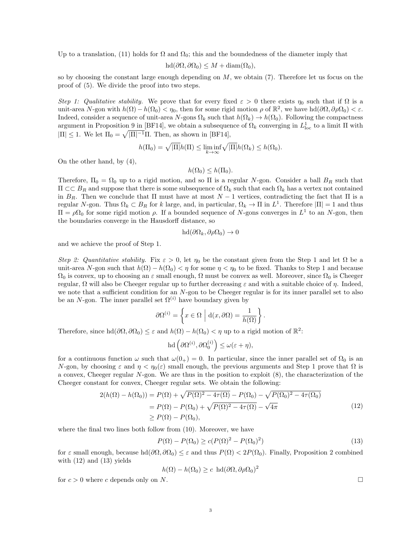Up to a translation, (11) holds for  $\Omega$  and  $\Omega_0$ ; this and the boundedness of the diameter imply that

$$
hd(\partial\Omega,\partial\Omega_0)\leq M+\text{diam}(\Omega_0),
$$

so by choosing the constant large enough depending on  $M$ , we obtain (7). Therefore let us focus on the proof of (5). We divide the proof into two steps.

Step 1: Qualitative stability. We prove that for every fixed  $\varepsilon > 0$  there exists  $\eta_0$  such that if  $\Omega$  is a unit-area N-gon with  $h(\Omega) - h(\Omega_0) < \eta_0$ , then for some rigid motion  $\rho$  of  $\mathbb{R}^2$ , we have  $h d(\partial \Omega, \partial \rho \Omega_0) < \varepsilon$ . Indeed, consider a sequence of unit-area N-gons  $\Omega_k$  such that  $h(\Omega_k) \to h(\Omega_0)$ . Following the compactness argument in Proposition 9 in [BF14], we obtain a subsequence of  $\Omega_k$  converging in  $L^1_{loc}$  to a limit  $\Pi$  with  $|\Pi| \leq 1$ . We let  $\Pi_0 = \sqrt{|\Pi|^{-1}}\Pi$ . Then, as shown in [BF14],

$$
h(\Pi_0) = \sqrt{|\Pi|}h(\Pi) \le \liminf_{k \to \infty} \sqrt{|\Pi|}h(\Omega_k) \le h(\Omega_0).
$$

On the other hand, by (4),

$$
h(\Omega_0)\leq h(\Pi_0).
$$

Therefore,  $\Pi_0 = \Omega_0$  up to a rigid motion, and so  $\Pi$  is a regular N-gon. Consider a ball  $B_R$  such that  $\Pi \subset\subset B_R$  and suppose that there is some subsequence of  $\Omega_k$  such that each  $\Omega_k$  has a vertex not contained in  $B_R$ . Then we conclude that  $\Pi$  must have at most  $N-1$  vertices, contradicting the fact that  $\Pi$  is a regular N-gon. Thus  $\Omega_k \subset B_R$  for k large, and, in particular,  $\Omega_k \to \Pi$  in  $L^1$ . Therefore  $|\Pi|=1$  and thus  $\Pi = \rho \Omega_0$  for some rigid motion  $\rho$ . If a bounded sequence of N-gons converges in  $L^1$  to an N-gon, then the boundaries converge in the Hausdorff distance, so

$$
\text{hd}(\partial\Omega_k, \partial\rho\Omega_0) \to 0
$$

and we achieve the proof of Step 1.

Step 2: Quantitative stability. Fix  $\varepsilon > 0$ , let  $\eta_0$  be the constant given from the Step 1 and let  $\Omega$  be a unit-area N-gon such that  $h(\Omega) - h(\Omega_0) < \eta$  for some  $\eta < \eta_0$  to be fixed. Thanks to Step 1 and because  $\Omega_0$  is convex, up to choosing an  $\varepsilon$  small enough,  $\Omega$  must be convex as well. Moreover, since  $\Omega_0$  is Cheeger regular,  $\Omega$  will also be Cheeger regular up to further decreasing  $\varepsilon$  and with a suitable choice of  $\eta$ . Indeed, we note that a sufficient condition for an N-gon to be Cheeger regular is for its inner parallel set to also be an N-gon. The inner parallel set  $\Omega^{(i)}$  have boundary given by

$$
\partial\Omega^{(i)} = \left\{ x \in \Omega \, \Big| \, d(x, \partial\Omega) = \frac{1}{h(\Omega)} \right\}.
$$

Therefore, since  $\text{hd}(\partial\Omega, \partial\Omega_0) \leq \varepsilon$  and  $h(\Omega) - h(\Omega_0) < \eta$  up to a rigid motion of  $\mathbb{R}^2$ :

$$
\mathrm{hd}\left(\partial\Omega^{(i)},\partial\Omega^{(i)}_0\right)\leq\omega(\varepsilon+\eta),
$$

for a continuous function  $\omega$  such that  $\omega(0_+) = 0$ . In particular, since the inner parallel set of  $\Omega_0$  is an N-gon, by choosing  $\varepsilon$  and  $\eta < \eta_0(\varepsilon)$  small enough, the previous arguments and Step 1 prove that  $\Omega$  is a convex, Cheeger regular N-gon. We are thus in the position to exploit (8), the characterization of the Cheeger constant for convex, Cheeger regular sets. We obtain the following:

$$
2(h(\Omega) - h(\Omega_0)) = P(\Omega) + \sqrt{P(\Omega)^2 - 4\tau(\Omega)} - P(\Omega_0) - \sqrt{P(\Omega_0)^2 - 4\tau(\Omega_0)}
$$
  
= 
$$
P(\Omega) - P(\Omega_0) + \sqrt{P(\Omega)^2 - 4\tau(\Omega)} - \sqrt{4\pi}
$$
  

$$
\ge P(\Omega) - P(\Omega_0),
$$
 (12)

where the final two lines both follow from (10). Moreover, we have

$$
P(\Omega) - P(\Omega_0) \ge c(P(\Omega)^2 - P(\Omega_0)^2)
$$
\n(13)

for  $\varepsilon$  small enough, because  $\text{hd}(\partial\Omega, \partial\Omega_0) \leq \varepsilon$  and thus  $P(\Omega) < 2P(\Omega_0)$ . Finally, Proposition 2 combined with  $(12)$  and  $(13)$  yields

$$
h(\Omega) - h(\Omega_0) \ge c \ \ln(\partial\Omega, \partial \rho \Omega_0)^2
$$

for  $c > 0$  where c depends only on N.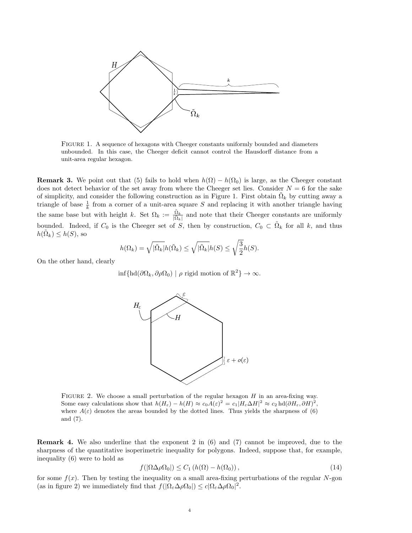

Figure 1. A sequence of hexagons with Cheeger constants uniformly bounded and diameters unbounded. In this case, the Cheeger deficit cannot control the Hausdorff distance from a unit-area regular hexagon.

**Remark 3.** We point out that (5) fails to hold when  $h(\Omega) - h(\Omega_0)$  is large, as the Cheeger constant does not detect behavior of the set away from where the Cheeger set lies. Consider  $N = 6$  for the sake of simplicity, and consider the following construction as in Figure 1. First obtain  $\tilde{\Omega}_k$  by cutting away a triangle of base  $\frac{1}{k}$  from a corner of a unit-area square S and replacing it with another triangle having the same base but with height k. Set  $\Omega_k := \frac{\tilde{\Omega}_k}{|\tilde{\Omega}_k|}$  and note that their Cheeger constants are uniformly bounded. Indeed, if  $C_0$  is the Cheeger set of S, then by construction,  $C_0 \subset \tilde{\Omega}_k$  for all k, and thus  $h(\tilde{\Omega}_k) \leq h(S)$ , so

$$
h(\Omega_k) = \sqrt{|\tilde{\Omega}_k|} h(\tilde{\Omega}_k) \le \sqrt{|\tilde{\Omega}_k|} h(S) \le \sqrt{\frac{3}{2}} h(S).
$$

On the other hand, clearly

 $\inf \{ \mathrm{hd}(\partial \Omega_k, \partial \rho \Omega_0) \mid \rho \text{ rigid motion of } \mathbb{R}^2 \} \to \infty.$ 



FIGURE 2. We choose a small perturbation of the regular hexagon  $H$  in an area-fixing way. Some easy calculations show that  $h(H_{\varepsilon}) - h(H) \approx c_0 A(\varepsilon)^2 = c_1 |H_{\varepsilon} \Delta H|^2 \approx c_2 \text{ hd}(\partial H_{\varepsilon}, \partial H)^2$ , where  $A(\varepsilon)$  denotes the areas bounded by the dotted lines. Thus yields the sharpness of (6) and (7).

Remark 4. We also underline that the exponent 2 in (6) and (7) cannot be improved, due to the sharpness of the quantitative isoperimetric inequality for polygons. Indeed, suppose that, for example, inequality (6) were to hold as

$$
f(|\Omega \Delta \rho \Omega_0|) \le C_1 \left( h(\Omega) - h(\Omega_0) \right),\tag{14}
$$

for some  $f(x)$ . Then by testing the inequality on a small area-fixing perturbations of the regular N-gon (as in figure 2) we immediately find that  $f(|\Omega_{\varepsilon} \Delta \rho \Omega_0|) \leq c |\Omega_{\varepsilon} \Delta \rho \Omega_0|^2$ .